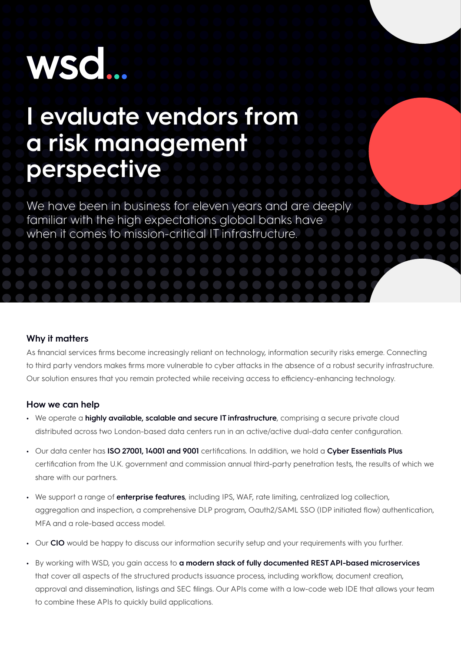## **WSO**

## **I evaluate vendors from a risk management perspective**

We have been in business for eleven years and are deeply familiar with the high expectations global banks have when it comes to mission-critical IT infrastructure.

## **Why it matters**

As financial services firms become increasingly reliant on technology, information security risks emerge. Connecting to third party vendors makes firms more vulnerable to cyber attacks in the absence of a robust security infrastructure. Our solution ensures that you remain protected while receiving access to efficiency-enhancing technology.

## **How we can help**

- **•** We operate a **highly available, scalable and secure IT infrastructure**, comprising a secure private cloud distributed across two London-based data centers run in an active/active dual-data center configuration.
- **•** Our data center has **ISO 27001, 14001 and 9001** certifications. In addition, we hold a **Cyber Essentials Plus** certification from the U.K. government and commission annual third-party penetration tests, the results of which we share with our partners.
- **•** We support a range of **enterprise features**, including IPS, WAF, rate limiting, centralized log collection, aggregation and inspection, a comprehensive DLP program, Oauth2/SAML SSO (IDP initiated flow) authentication, MFA and a role-based access model.
- **•** Our **CIO** would be happy to discuss our information security setup and your requirements with you further.
- **•** By working with WSD, you gain access to **a modern stack of fully documented REST API-based microservices** that cover all aspects of the structured products issuance process, including workflow, document creation, approval and dissemination, listings and SEC filings. Our APIs come with a low-code web IDE that allows your team to combine these APIs to quickly build applications.